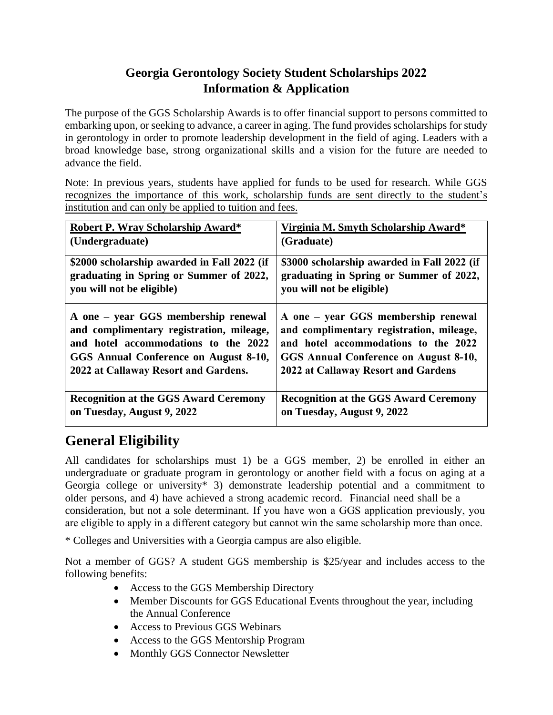#### **Georgia Gerontology Society Student Scholarships 2022 Information & Application**

The purpose of the GGS Scholarship Awards is to offer financial support to persons committed to embarking upon, or seeking to advance, a career in aging. The fund provides scholarships for study in gerontology in order to promote leadership development in the field of aging. Leaders with a broad knowledge base, strong organizational skills and a vision for the future are needed to advance the field.

Note: In previous years, students have applied for funds to be used for research. While GGS recognizes the importance of this work, scholarship funds are sent directly to the student's institution and can only be applied to tuition and fees.

| Robert P. Wray Scholarship Award*            | Virginia M. Smyth Scholarship Award*         |
|----------------------------------------------|----------------------------------------------|
| (Undergraduate)                              | (Graduate)                                   |
| \$2000 scholarship awarded in Fall 2022 (if  | \$3000 scholarship awarded in Fall 2022 (if  |
| graduating in Spring or Summer of 2022,      | graduating in Spring or Summer of 2022,      |
| you will not be eligible)                    | you will not be eligible)                    |
| A one – year GGS membership renewal          | A one – year GGS membership renewal          |
| and complimentary registration, mileage,     | and complimentary registration, mileage,     |
| and hotel accommodations to the 2022         | and hotel accommodations to the 2022         |
| GGS Annual Conference on August 8-10,        | GGS Annual Conference on August 8-10,        |
| 2022 at Callaway Resort and Gardens.         | 2022 at Callaway Resort and Gardens          |
| <b>Recognition at the GGS Award Ceremony</b> | <b>Recognition at the GGS Award Ceremony</b> |
| on Tuesday, August 9, 2022                   | on Tuesday, August 9, 2022                   |

## **General Eligibility**

All candidates for scholarships must 1) be a GGS member, 2) be enrolled in either an undergraduate or graduate program in gerontology or another field with a focus on aging at a Georgia college or university\* 3) demonstrate leadership potential and a commitment to older persons, and 4) have achieved a strong academic record. Financial need shall be a consideration, but not a sole determinant. If you have won a GGS application previously, you are eligible to apply in a different category but cannot win the same scholarship more than once.

\* Colleges and Universities with a Georgia campus are also eligible.

Not a member of GGS? A student GGS membership is \$25/year and includes access to the following benefits:

- Access to the GGS Membership Directory
- Member Discounts for GGS Educational Events throughout the year, including the Annual Conference
- Access to Previous GGS Webinars
- Access to the GGS Mentorship Program
- Monthly GGS Connector Newsletter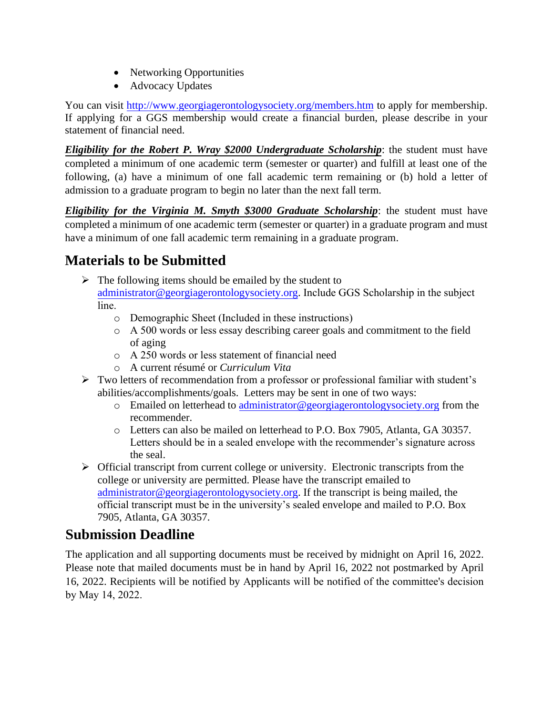- Networking Opportunities
- Advocacy Updates

You can visit<http://www.georgiagerontologysociety.org/members.htm> to apply for membership. If applying for a GGS membership would create a financial burden, please describe in your statement of financial need.

*Eligibility for the Robert P. Wray \$2000 Undergraduate Scholarship*: the student must have completed a minimum of one academic term (semester or quarter) and fulfill at least one of the following, (a) have a minimum of one fall academic term remaining or (b) hold a letter of admission to a graduate program to begin no later than the next fall term.

*Eligibility for the Virginia M. Smyth \$3000 Graduate Scholarship*: the student must have completed a minimum of one academic term (semester or quarter) in a graduate program and must have a minimum of one fall academic term remaining in a graduate program.

### **Materials to be Submitted**

- $\triangleright$  The following items should be emailed by the student to [administrator@georgiagerontologysociety.org.](mailto:administrator@georgiagerontologysociety.org) Include GGS Scholarship in the subject line.
	- o Demographic Sheet (Included in these instructions)
	- o A 500 words or less essay describing career goals and commitment to the field of aging
	- o A 250 words or less statement of financial need
	- o A current résumé or *Curriculum Vita*
- ➢ Two letters of recommendation from a professor or professional familiar with student's abilities/accomplishments/goals. Letters may be sent in one of two ways:
	- o Emailed on letterhead to [administrator@georgiagerontologysociety.org](mailto:administrator@georgiagerontologysociety.org) from the recommender.
	- o Letters can also be mailed on letterhead to P.O. Box 7905, Atlanta, GA 30357. Letters should be in a sealed envelope with the recommender's signature across [the seal.](mailto:administrator@georgiagerontologysociety.org)
- $\triangleright$  Official transcript from current college or university. Electronic transcripts from the college or university are permitted. Please have the transcript emailed to administrator@georgiagerontologysociety.org. If the transcript is being mailed, the official transcript must be in the university's sealed envelope and mailed to P.O. Box 7905, Atlanta, GA 30357.

#### **Submission Deadline**

The application and all supporting documents must be received by midnight on April 16, 2022. Please note that mailed documents must be in hand by April 16, 2022 not postmarked by April 16, 2022. Recipients will be notified by Applicants will be notified of the committee's decision by May 14, 2022.